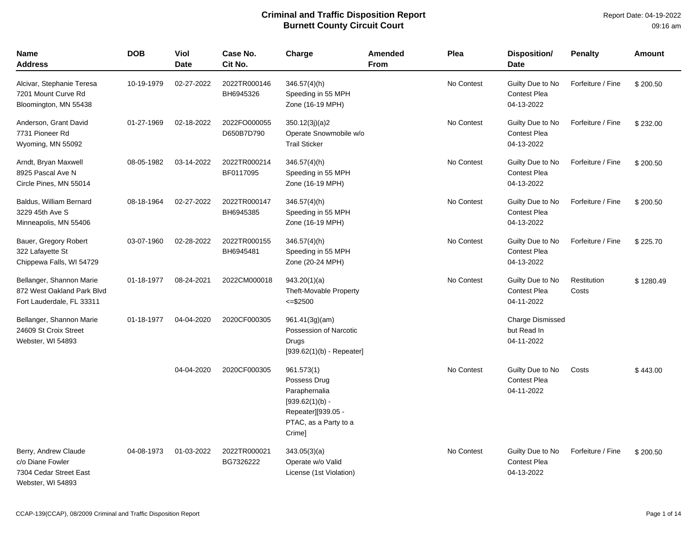| <b>Name</b><br>Address                                                                  | <b>DOB</b> | Viol<br><b>Date</b> | Case No.<br>Cit No.        | Charge                                                                                                                    | Amended<br>From | Plea       | <b>Disposition/</b><br>Date                           | <b>Penalty</b>       | <b>Amount</b> |
|-----------------------------------------------------------------------------------------|------------|---------------------|----------------------------|---------------------------------------------------------------------------------------------------------------------------|-----------------|------------|-------------------------------------------------------|----------------------|---------------|
| Alcivar, Stephanie Teresa<br>7201 Mount Curve Rd<br>Bloomington, MN 55438               | 10-19-1979 | 02-27-2022          | 2022TR000146<br>BH6945326  | 346.57(4)(h)<br>Speeding in 55 MPH<br>Zone (16-19 MPH)                                                                    |                 | No Contest | Guilty Due to No<br><b>Contest Plea</b><br>04-13-2022 | Forfeiture / Fine    | \$200.50      |
| Anderson, Grant David<br>7731 Pioneer Rd<br>Wyoming, MN 55092                           | 01-27-1969 | 02-18-2022          | 2022FO000055<br>D650B7D790 | 350.12(3j)(a)2<br>Operate Snowmobile w/o<br><b>Trail Sticker</b>                                                          |                 | No Contest | Guilty Due to No<br><b>Contest Plea</b><br>04-13-2022 | Forfeiture / Fine    | \$232.00      |
| Arndt, Bryan Maxwell<br>8925 Pascal Ave N<br>Circle Pines, MN 55014                     | 08-05-1982 | 03-14-2022          | 2022TR000214<br>BF0117095  | 346.57(4)(h)<br>Speeding in 55 MPH<br>Zone (16-19 MPH)                                                                    |                 | No Contest | Guilty Due to No<br><b>Contest Plea</b><br>04-13-2022 | Forfeiture / Fine    | \$200.50      |
| Baldus, William Bernard<br>3229 45th Ave S<br>Minneapolis, MN 55406                     | 08-18-1964 | 02-27-2022          | 2022TR000147<br>BH6945385  | 346.57(4)(h)<br>Speeding in 55 MPH<br>Zone (16-19 MPH)                                                                    |                 | No Contest | Guilty Due to No<br><b>Contest Plea</b><br>04-13-2022 | Forfeiture / Fine    | \$200.50      |
| Bauer, Gregory Robert<br>322 Lafayette St<br>Chippewa Falls, WI 54729                   | 03-07-1960 | 02-28-2022          | 2022TR000155<br>BH6945481  | $346.57(4)$ (h)<br>Speeding in 55 MPH<br>Zone (20-24 MPH)                                                                 |                 | No Contest | Guilty Due to No<br><b>Contest Plea</b><br>04-13-2022 | Forfeiture / Fine    | \$225.70      |
| Bellanger, Shannon Marie<br>872 West Oakland Park Blvd<br>Fort Lauderdale, FL 33311     | 01-18-1977 | 08-24-2021          | 2022CM000018               | 943.20(1)(a)<br><b>Theft-Movable Property</b><br>$\leq$ \$2500                                                            |                 | No Contest | Guilty Due to No<br><b>Contest Plea</b><br>04-11-2022 | Restitution<br>Costs | \$1280.49     |
| Bellanger, Shannon Marie<br>24609 St Croix Street<br>Webster, WI 54893                  | 01-18-1977 | 04-04-2020          | 2020CF000305               | 961.41(3g)(am)<br>Possession of Narcotic<br>Drugs<br>$[939.62(1)(b) - Repeated]$                                          |                 |            | Charge Dismissed<br>but Read In<br>04-11-2022         |                      |               |
|                                                                                         |            | 04-04-2020          | 2020CF000305               | 961.573(1)<br>Possess Drug<br>Paraphernalia<br>$[939.62(1)(b) -$<br>Repeater][939.05 -<br>PTAC, as a Party to a<br>Crime] |                 | No Contest | Guilty Due to No<br><b>Contest Plea</b><br>04-11-2022 | Costs                | \$443.00      |
| Berry, Andrew Claude<br>c/o Diane Fowler<br>7304 Cedar Street East<br>Webster, WI 54893 | 04-08-1973 | 01-03-2022          | 2022TR000021<br>BG7326222  | 343.05(3)(a)<br>Operate w/o Valid<br>License (1st Violation)                                                              |                 | No Contest | Guilty Due to No<br><b>Contest Plea</b><br>04-13-2022 | Forfeiture / Fine    | \$200.50      |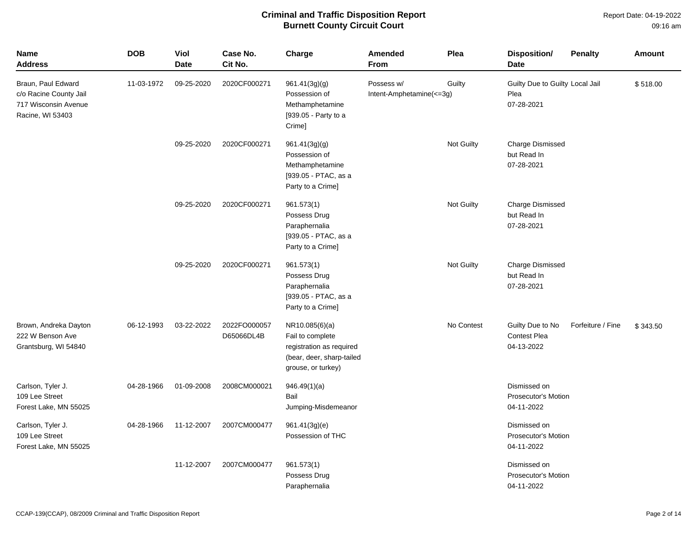| <b>Name</b><br><b>Address</b>                                                            | <b>DOB</b> | Viol<br><b>Date</b> | Case No.<br>Cit No.        | Charge                                                                                                            | Amended<br>From                        | Plea       | Disposition/<br><b>Date</b>                              | <b>Penalty</b>    | Amount   |
|------------------------------------------------------------------------------------------|------------|---------------------|----------------------------|-------------------------------------------------------------------------------------------------------------------|----------------------------------------|------------|----------------------------------------------------------|-------------------|----------|
| Braun, Paul Edward<br>c/o Racine County Jail<br>717 Wisconsin Avenue<br>Racine, WI 53403 | 11-03-1972 | 09-25-2020          | 2020CF000271               | 961.41(3g)(g)<br>Possession of<br>Methamphetamine<br>[939.05 - Party to a<br>Crime]                               | Possess w/<br>Intent-Amphetamine(<=3g) | Guilty     | Guilty Due to Guilty Local Jail<br>Plea<br>07-28-2021    |                   | \$518.00 |
|                                                                                          |            | 09-25-2020          | 2020CF000271               | 961.41(3g)(g)<br>Possession of<br>Methamphetamine<br>[939.05 - PTAC, as a<br>Party to a Crime]                    |                                        | Not Guilty | <b>Charge Dismissed</b><br>but Read In<br>07-28-2021     |                   |          |
|                                                                                          |            | 09-25-2020          | 2020CF000271               | 961.573(1)<br>Possess Drug<br>Paraphernalia<br>[939.05 - PTAC, as a<br>Party to a Crime]                          |                                        | Not Guilty | <b>Charge Dismissed</b><br>but Read In<br>07-28-2021     |                   |          |
|                                                                                          |            | 09-25-2020          | 2020CF000271               | 961.573(1)<br>Possess Drug<br>Paraphernalia<br>[939.05 - PTAC, as a<br>Party to a Crime]                          |                                        | Not Guilty | Charge Dismissed<br>but Read In<br>07-28-2021            |                   |          |
| Brown, Andreka Dayton<br>222 W Benson Ave<br>Grantsburg, WI 54840                        | 06-12-1993 | 03-22-2022          | 2022FO000057<br>D65066DL4B | NR10.085(6)(a)<br>Fail to complete<br>registration as required<br>(bear, deer, sharp-tailed<br>grouse, or turkey) |                                        | No Contest | Guilty Due to No<br><b>Contest Plea</b><br>04-13-2022    | Forfeiture / Fine | \$343.50 |
| Carlson, Tyler J.<br>109 Lee Street<br>Forest Lake, MN 55025                             | 04-28-1966 | 01-09-2008          | 2008CM000021               | 946.49(1)(a)<br>Bail<br>Jumping-Misdemeanor                                                                       |                                        |            | Dismissed on<br><b>Prosecutor's Motion</b><br>04-11-2022 |                   |          |
| Carlson, Tyler J.<br>109 Lee Street<br>Forest Lake, MN 55025                             | 04-28-1966 | 11-12-2007          | 2007CM000477               | 961.41(3g)(e)<br>Possession of THC                                                                                |                                        |            | Dismissed on<br>Prosecutor's Motion<br>04-11-2022        |                   |          |
|                                                                                          |            | 11-12-2007          | 2007CM000477               | 961.573(1)<br>Possess Drug<br>Paraphernalia                                                                       |                                        |            | Dismissed on<br>Prosecutor's Motion<br>04-11-2022        |                   |          |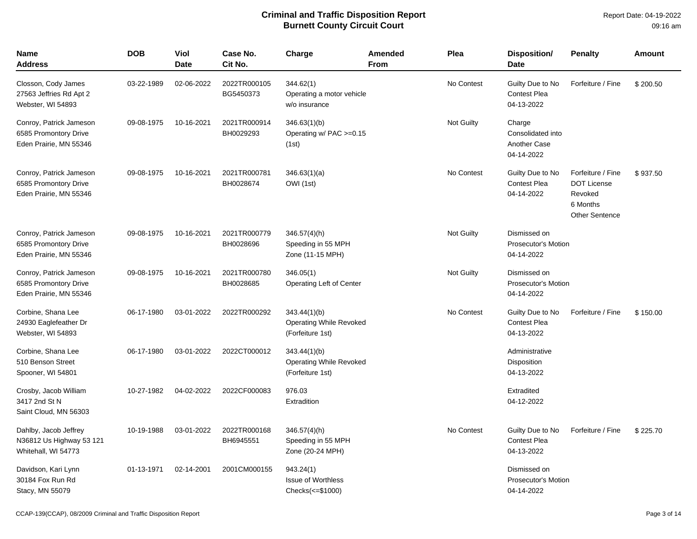| Name<br>Address                                                            | <b>DOB</b> | <b>Viol</b><br><b>Date</b> | Case No.<br>Cit No.       | Charge                                                             | Amended<br><b>From</b> | Plea              | <b>Disposition/</b><br><b>Date</b>                        | <b>Penalty</b>                                                                   | <b>Amount</b> |
|----------------------------------------------------------------------------|------------|----------------------------|---------------------------|--------------------------------------------------------------------|------------------------|-------------------|-----------------------------------------------------------|----------------------------------------------------------------------------------|---------------|
| Closson, Cody James<br>27563 Jeffries Rd Apt 2<br>Webster, WI 54893        | 03-22-1989 | 02-06-2022                 | 2022TR000105<br>BG5450373 | 344.62(1)<br>Operating a motor vehicle<br>w/o insurance            |                        | No Contest        | Guilty Due to No<br><b>Contest Plea</b><br>04-13-2022     | Forfeiture / Fine                                                                | \$200.50      |
| Conroy, Patrick Jameson<br>6585 Promontory Drive<br>Eden Prairie, MN 55346 | 09-08-1975 | 10-16-2021                 | 2021TR000914<br>BH0029293 | 346.63(1)(b)<br>Operating $w/$ PAC $>=0.15$<br>(1st)               |                        | <b>Not Guilty</b> | Charge<br>Consolidated into<br>Another Case<br>04-14-2022 |                                                                                  |               |
| Conroy, Patrick Jameson<br>6585 Promontory Drive<br>Eden Prairie, MN 55346 | 09-08-1975 | 10-16-2021                 | 2021TR000781<br>BH0028674 | 346.63(1)(a)<br>OWI (1st)                                          |                        | No Contest        | Guilty Due to No<br><b>Contest Plea</b><br>04-14-2022     | Forfeiture / Fine<br><b>DOT License</b><br>Revoked<br>6 Months<br>Other Sentence | \$937.50      |
| Conroy, Patrick Jameson<br>6585 Promontory Drive<br>Eden Prairie, MN 55346 | 09-08-1975 | 10-16-2021                 | 2021TR000779<br>BH0028696 | $346.57(4)$ (h)<br>Speeding in 55 MPH<br>Zone (11-15 MPH)          |                        | <b>Not Guilty</b> | Dismissed on<br><b>Prosecutor's Motion</b><br>04-14-2022  |                                                                                  |               |
| Conroy, Patrick Jameson<br>6585 Promontory Drive<br>Eden Prairie, MN 55346 | 09-08-1975 | 10-16-2021                 | 2021TR000780<br>BH0028685 | 346.05(1)<br>Operating Left of Center                              |                        | <b>Not Guilty</b> | Dismissed on<br><b>Prosecutor's Motion</b><br>04-14-2022  |                                                                                  |               |
| Corbine, Shana Lee<br>24930 Eaglefeather Dr<br>Webster, WI 54893           | 06-17-1980 | 03-01-2022                 | 2022TR000292              | 343.44(1)(b)<br><b>Operating While Revoked</b><br>(Forfeiture 1st) |                        | No Contest        | Guilty Due to No<br><b>Contest Plea</b><br>04-13-2022     | Forfeiture / Fine                                                                | \$150.00      |
| Corbine, Shana Lee<br>510 Benson Street<br>Spooner, WI 54801               | 06-17-1980 | 03-01-2022                 | 2022CT000012              | 343.44(1)(b)<br><b>Operating While Revoked</b><br>(Forfeiture 1st) |                        |                   | Administrative<br>Disposition<br>04-13-2022               |                                                                                  |               |
| Crosby, Jacob William<br>3417 2nd St N<br>Saint Cloud, MN 56303            | 10-27-1982 | 04-02-2022                 | 2022CF000083              | 976.03<br>Extradition                                              |                        |                   | Extradited<br>04-12-2022                                  |                                                                                  |               |
| Dahlby, Jacob Jeffrey<br>N36812 Us Highway 53 121<br>Whitehall, WI 54773   | 10-19-1988 | 03-01-2022                 | 2022TR000168<br>BH6945551 | $346.57(4)$ (h)<br>Speeding in 55 MPH<br>Zone (20-24 MPH)          |                        | No Contest        | Guilty Due to No<br><b>Contest Plea</b><br>04-13-2022     | Forfeiture / Fine                                                                | \$225.70      |
| Davidson, Kari Lynn<br>30184 Fox Run Rd<br>Stacy, MN 55079                 | 01-13-1971 | 02-14-2001                 | 2001CM000155              | 943.24(1)<br>Issue of Worthless<br>Checks(<=\$1000)                |                        |                   | Dismissed on<br><b>Prosecutor's Motion</b><br>04-14-2022  |                                                                                  |               |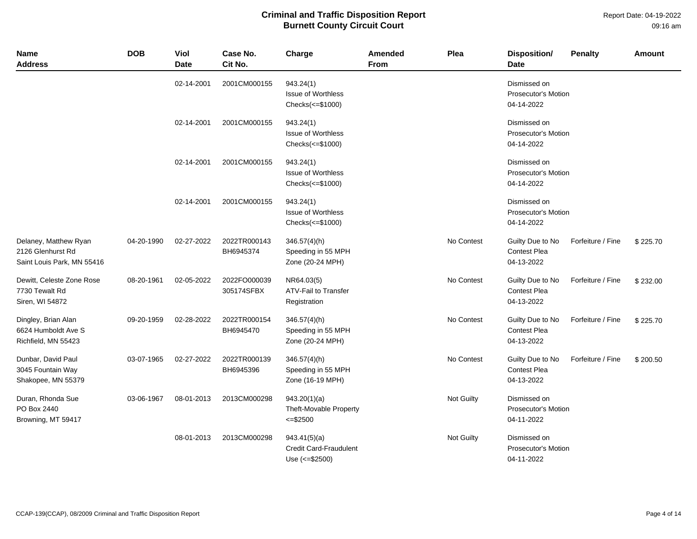Report Date: 04-19-2022 09:16 am

| <b>Name</b><br><b>Address</b>                                            | <b>DOB</b> | Viol<br><b>Date</b> | Case No.<br>Cit No.        | Charge                                                          | Amended<br><b>From</b> | Plea       | <b>Disposition/</b><br><b>Date</b>                       | <b>Penalty</b>    | <b>Amount</b> |
|--------------------------------------------------------------------------|------------|---------------------|----------------------------|-----------------------------------------------------------------|------------------------|------------|----------------------------------------------------------|-------------------|---------------|
|                                                                          |            | 02-14-2001          | 2001CM000155               | 943.24(1)<br><b>Issue of Worthless</b><br>$Checks(\leq=\$1000)$ |                        |            | Dismissed on<br><b>Prosecutor's Motion</b><br>04-14-2022 |                   |               |
|                                                                          |            | 02-14-2001          | 2001CM000155               | 943.24(1)<br>Issue of Worthless<br>$Checks(\leq=\$1000)$        |                        |            | Dismissed on<br><b>Prosecutor's Motion</b><br>04-14-2022 |                   |               |
|                                                                          |            | 02-14-2001          | 2001CM000155               | 943.24(1)<br><b>Issue of Worthless</b><br>Checks(<=\$1000)      |                        |            | Dismissed on<br><b>Prosecutor's Motion</b><br>04-14-2022 |                   |               |
|                                                                          |            | 02-14-2001          | 2001CM000155               | 943.24(1)<br><b>Issue of Worthless</b><br>$Checks(\leq=\$1000)$ |                        |            | Dismissed on<br><b>Prosecutor's Motion</b><br>04-14-2022 |                   |               |
| Delaney, Matthew Ryan<br>2126 Glenhurst Rd<br>Saint Louis Park, MN 55416 | 04-20-1990 | 02-27-2022          | 2022TR000143<br>BH6945374  | 346.57(4)(h)<br>Speeding in 55 MPH<br>Zone (20-24 MPH)          |                        | No Contest | Guilty Due to No<br><b>Contest Plea</b><br>04-13-2022    | Forfeiture / Fine | \$225.70      |
| Dewitt, Celeste Zone Rose<br>7730 Tewalt Rd<br>Siren, WI 54872           | 08-20-1961 | 02-05-2022          | 2022FO000039<br>305174SFBX | NR64.03(5)<br>ATV-Fail to Transfer<br>Registration              |                        | No Contest | Guilty Due to No<br>Contest Plea<br>04-13-2022           | Forfeiture / Fine | \$232.00      |
| Dingley, Brian Alan<br>6624 Humboldt Ave S<br>Richfield, MN 55423        | 09-20-1959 | 02-28-2022          | 2022TR000154<br>BH6945470  | 346.57(4)(h)<br>Speeding in 55 MPH<br>Zone (20-24 MPH)          |                        | No Contest | Guilty Due to No<br><b>Contest Plea</b><br>04-13-2022    | Forfeiture / Fine | \$225.70      |
| Dunbar, David Paul<br>3045 Fountain Way<br>Shakopee, MN 55379            | 03-07-1965 | 02-27-2022          | 2022TR000139<br>BH6945396  | 346.57(4)(h)<br>Speeding in 55 MPH<br>Zone (16-19 MPH)          |                        | No Contest | Guilty Due to No<br><b>Contest Plea</b><br>04-13-2022    | Forfeiture / Fine | \$200.50      |
| Duran, Rhonda Sue<br>PO Box 2440<br>Browning, MT 59417                   | 03-06-1967 | 08-01-2013          | 2013CM000298               | 943.20(1)(a)<br>Theft-Movable Property<br>$\leq$ \$2500         |                        | Not Guilty | Dismissed on<br><b>Prosecutor's Motion</b><br>04-11-2022 |                   |               |
|                                                                          |            | 08-01-2013          | 2013CM000298               | 943.41(5)(a)<br><b>Credit Card-Fraudulent</b><br>Use (<=\$2500) |                        | Not Guilty | Dismissed on<br><b>Prosecutor's Motion</b><br>04-11-2022 |                   |               |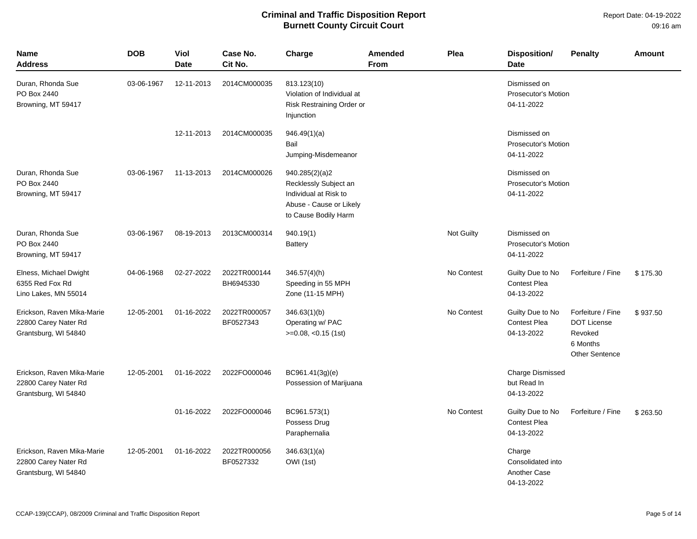| <b>Name</b><br>Address                                                     | <b>DOB</b> | Viol<br><b>Date</b> | Case No.<br>Cit No.       | Charge                                                                                                              | Amended<br>From | Plea       | <b>Disposition/</b><br><b>Date</b>                        | <b>Penalty</b>                                                                          | Amount   |
|----------------------------------------------------------------------------|------------|---------------------|---------------------------|---------------------------------------------------------------------------------------------------------------------|-----------------|------------|-----------------------------------------------------------|-----------------------------------------------------------------------------------------|----------|
| Duran, Rhonda Sue<br>PO Box 2440<br>Browning, MT 59417                     | 03-06-1967 | 12-11-2013          | 2014CM000035              | 813.123(10)<br>Violation of Individual at<br>Risk Restraining Order or<br>Injunction                                |                 |            | Dismissed on<br><b>Prosecutor's Motion</b><br>04-11-2022  |                                                                                         |          |
|                                                                            |            | 12-11-2013          | 2014CM000035              | 946.49(1)(a)<br>Bail<br>Jumping-Misdemeanor                                                                         |                 |            | Dismissed on<br>Prosecutor's Motion<br>04-11-2022         |                                                                                         |          |
| Duran, Rhonda Sue<br>PO Box 2440<br>Browning, MT 59417                     | 03-06-1967 | 11-13-2013          | 2014CM000026              | 940.285(2)(a)2<br>Recklessly Subject an<br>Individual at Risk to<br>Abuse - Cause or Likely<br>to Cause Bodily Harm |                 |            | Dismissed on<br><b>Prosecutor's Motion</b><br>04-11-2022  |                                                                                         |          |
| Duran, Rhonda Sue<br>PO Box 2440<br>Browning, MT 59417                     | 03-06-1967 | 08-19-2013          | 2013CM000314              | 940.19(1)<br><b>Battery</b>                                                                                         |                 | Not Guilty | Dismissed on<br><b>Prosecutor's Motion</b><br>04-11-2022  |                                                                                         |          |
| Elness, Michael Dwight<br>6355 Red Fox Rd<br>Lino Lakes, MN 55014          | 04-06-1968 | 02-27-2022          | 2022TR000144<br>BH6945330 | $346.57(4)$ (h)<br>Speeding in 55 MPH<br>Zone (11-15 MPH)                                                           |                 | No Contest | Guilty Due to No<br><b>Contest Plea</b><br>04-13-2022     | Forfeiture / Fine                                                                       | \$175.30 |
| Erickson, Raven Mika-Marie<br>22800 Carey Nater Rd<br>Grantsburg, WI 54840 | 12-05-2001 | 01-16-2022          | 2022TR000057<br>BF0527343 | 346.63(1)(b)<br>Operating w/ PAC<br>$>=0.08, <0.15$ (1st)                                                           |                 | No Contest | Guilty Due to No<br><b>Contest Plea</b><br>04-13-2022     | Forfeiture / Fine<br><b>DOT License</b><br>Revoked<br>6 Months<br><b>Other Sentence</b> | \$937.50 |
| Erickson, Raven Mika-Marie<br>22800 Carey Nater Rd<br>Grantsburg, WI 54840 | 12-05-2001 | 01-16-2022          | 2022FO000046              | BC961.41(3g)(e)<br>Possession of Marijuana                                                                          |                 |            | <b>Charge Dismissed</b><br>but Read In<br>04-13-2022      |                                                                                         |          |
|                                                                            |            | 01-16-2022          | 2022FO000046              | BC961.573(1)<br>Possess Drug<br>Paraphernalia                                                                       |                 | No Contest | Guilty Due to No<br><b>Contest Plea</b><br>04-13-2022     | Forfeiture / Fine                                                                       | \$263.50 |
| Erickson, Raven Mika-Marie<br>22800 Carey Nater Rd<br>Grantsburg, WI 54840 | 12-05-2001 | 01-16-2022          | 2022TR000056<br>BF0527332 | 346.63(1)(a)<br>OWI (1st)                                                                                           |                 |            | Charge<br>Consolidated into<br>Another Case<br>04-13-2022 |                                                                                         |          |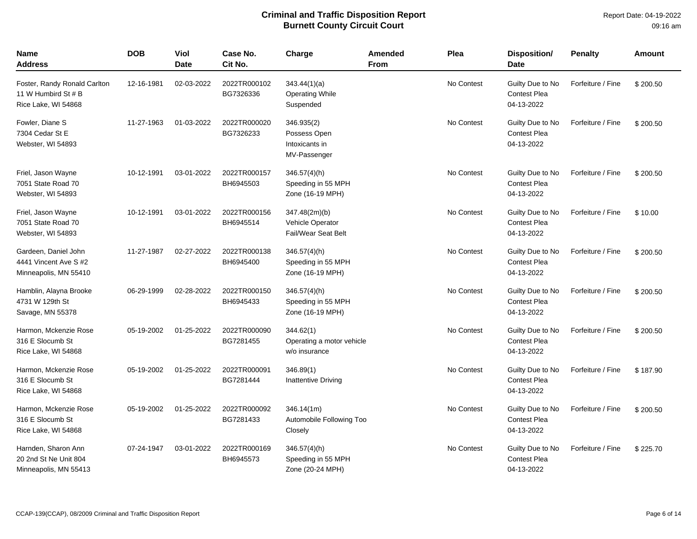| Name<br>Address                                                            | <b>DOB</b> | Viol<br><b>Date</b> | Case No.<br>Cit No.       | Charge                                                          | Amended<br><b>From</b> | Plea       | <b>Disposition/</b><br><b>Date</b>                    | <b>Penalty</b>    | Amount   |
|----------------------------------------------------------------------------|------------|---------------------|---------------------------|-----------------------------------------------------------------|------------------------|------------|-------------------------------------------------------|-------------------|----------|
| Foster, Randy Ronald Carlton<br>11 W Humbird St # B<br>Rice Lake, WI 54868 | 12-16-1981 | 02-03-2022          | 2022TR000102<br>BG7326336 | 343.44(1)(a)<br><b>Operating While</b><br>Suspended             |                        | No Contest | Guilty Due to No<br><b>Contest Plea</b><br>04-13-2022 | Forfeiture / Fine | \$200.50 |
| Fowler, Diane S<br>7304 Cedar St E<br>Webster, WI 54893                    | 11-27-1963 | 01-03-2022          | 2022TR000020<br>BG7326233 | 346.935(2)<br>Possess Open<br>Intoxicants in<br>MV-Passenger    |                        | No Contest | Guilty Due to No<br><b>Contest Plea</b><br>04-13-2022 | Forfeiture / Fine | \$200.50 |
| Friel, Jason Wayne<br>7051 State Road 70<br>Webster, WI 54893              | 10-12-1991 | 03-01-2022          | 2022TR000157<br>BH6945503 | 346.57(4)(h)<br>Speeding in 55 MPH<br>Zone (16-19 MPH)          |                        | No Contest | Guilty Due to No<br><b>Contest Plea</b><br>04-13-2022 | Forfeiture / Fine | \$200.50 |
| Friel, Jason Wayne<br>7051 State Road 70<br>Webster, WI 54893              | 10-12-1991 | 03-01-2022          | 2022TR000156<br>BH6945514 | 347.48(2m)(b)<br>Vehicle Operator<br><b>Fail/Wear Seat Belt</b> |                        | No Contest | Guilty Due to No<br>Contest Plea<br>04-13-2022        | Forfeiture / Fine | \$10.00  |
| Gardeen, Daniel John<br>4441 Vincent Ave S #2<br>Minneapolis, MN 55410     | 11-27-1987 | 02-27-2022          | 2022TR000138<br>BH6945400 | 346.57(4)(h)<br>Speeding in 55 MPH<br>Zone (16-19 MPH)          |                        | No Contest | Guilty Due to No<br>Contest Plea<br>04-13-2022        | Forfeiture / Fine | \$200.50 |
| Hamblin, Alayna Brooke<br>4731 W 129th St<br>Savage, MN 55378              | 06-29-1999 | 02-28-2022          | 2022TR000150<br>BH6945433 | $346.57(4)$ (h)<br>Speeding in 55 MPH<br>Zone (16-19 MPH)       |                        | No Contest | Guilty Due to No<br>Contest Plea<br>04-13-2022        | Forfeiture / Fine | \$200.50 |
| Harmon, Mckenzie Rose<br>316 E Slocumb St<br>Rice Lake, WI 54868           | 05-19-2002 | 01-25-2022          | 2022TR000090<br>BG7281455 | 344.62(1)<br>Operating a motor vehicle<br>w/o insurance         |                        | No Contest | Guilty Due to No<br><b>Contest Plea</b><br>04-13-2022 | Forfeiture / Fine | \$200.50 |
| Harmon, Mckenzie Rose<br>316 E Slocumb St<br>Rice Lake, WI 54868           | 05-19-2002 | 01-25-2022          | 2022TR000091<br>BG7281444 | 346.89(1)<br>Inattentive Driving                                |                        | No Contest | Guilty Due to No<br>Contest Plea<br>04-13-2022        | Forfeiture / Fine | \$187.90 |
| Harmon, Mckenzie Rose<br>316 E Slocumb St<br>Rice Lake, WI 54868           | 05-19-2002 | 01-25-2022          | 2022TR000092<br>BG7281433 | 346.14(1m)<br>Automobile Following Too<br>Closely               |                        | No Contest | Guilty Due to No<br><b>Contest Plea</b><br>04-13-2022 | Forfeiture / Fine | \$200.50 |
| Harnden, Sharon Ann<br>20 2nd St Ne Unit 804<br>Minneapolis, MN 55413      | 07-24-1947 | 03-01-2022          | 2022TR000169<br>BH6945573 | $346.57(4)$ (h)<br>Speeding in 55 MPH<br>Zone (20-24 MPH)       |                        | No Contest | Guilty Due to No<br><b>Contest Plea</b><br>04-13-2022 | Forfeiture / Fine | \$225.70 |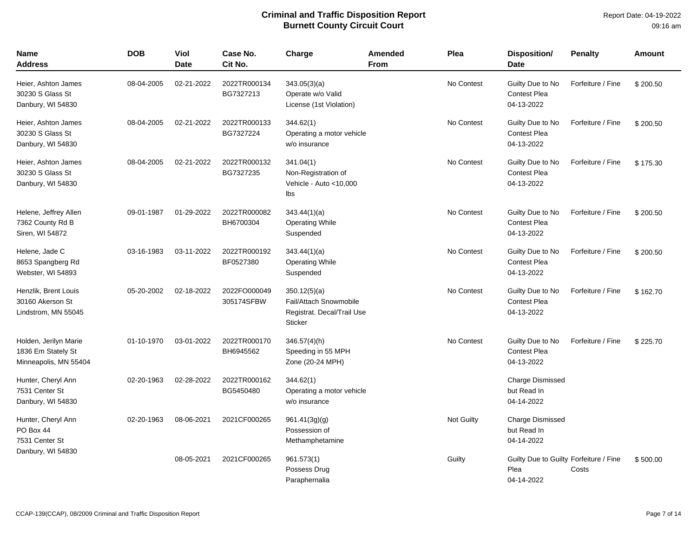| Name<br><b>Address</b>                                               | <b>DOB</b> | Viol<br><b>Date</b> | Case No.<br>Cit No.        | Charge                                                                                 | Amended<br><b>From</b> | Plea       | <b>Disposition/</b><br>Date                                  | <b>Penalty</b>    | <b>Amount</b> |
|----------------------------------------------------------------------|------------|---------------------|----------------------------|----------------------------------------------------------------------------------------|------------------------|------------|--------------------------------------------------------------|-------------------|---------------|
| Heier, Ashton James<br>30230 S Glass St<br>Danbury, WI 54830         | 08-04-2005 | 02-21-2022          | 2022TR000134<br>BG7327213  | 343.05(3)(a)<br>Operate w/o Valid<br>License (1st Violation)                           |                        | No Contest | Guilty Due to No<br><b>Contest Plea</b><br>04-13-2022        | Forfeiture / Fine | \$200.50      |
| Heier, Ashton James<br>30230 S Glass St<br>Danbury, WI 54830         | 08-04-2005 | 02-21-2022          | 2022TR000133<br>BG7327224  | 344.62(1)<br>Operating a motor vehicle<br>w/o insurance                                |                        | No Contest | Guilty Due to No<br><b>Contest Plea</b><br>04-13-2022        | Forfeiture / Fine | \$200.50      |
| Heier, Ashton James<br>30230 S Glass St<br>Danbury, WI 54830         | 08-04-2005 | 02-21-2022          | 2022TR000132<br>BG7327235  | 341.04(1)<br>Non-Registration of<br>Vehicle - Auto <10,000<br>Ibs                      |                        | No Contest | Guilty Due to No<br><b>Contest Plea</b><br>04-13-2022        | Forfeiture / Fine | \$175.30      |
| Helene, Jeffrey Allen<br>7362 County Rd B<br>Siren, WI 54872         | 09-01-1987 | 01-29-2022          | 2022TR000082<br>BH6700304  | 343.44(1)(a)<br><b>Operating While</b><br>Suspended                                    |                        | No Contest | Guilty Due to No<br><b>Contest Plea</b><br>04-13-2022        | Forfeiture / Fine | \$200.50      |
| Helene, Jade C<br>8653 Spangberg Rd<br>Webster, WI 54893             | 03-16-1983 | 03-11-2022          | 2022TR000192<br>BF0527380  | 343.44(1)(a)<br><b>Operating While</b><br>Suspended                                    |                        | No Contest | Guilty Due to No<br><b>Contest Plea</b><br>04-13-2022        | Forfeiture / Fine | \$200.50      |
| Henzlik, Brent Louis<br>30160 Akerson St<br>Lindstrom, MN 55045      | 05-20-2002 | 02-18-2022          | 2022FO000049<br>305174SFBW | 350.12(5)(a)<br>Fail/Attach Snowmobile<br>Registrat. Decal/Trail Use<br><b>Sticker</b> |                        | No Contest | Guilty Due to No<br><b>Contest Plea</b><br>04-13-2022        | Forfeiture / Fine | \$162.70      |
| Holden, Jerilyn Marie<br>1836 Em Stately St<br>Minneapolis, MN 55404 | 01-10-1970 | 03-01-2022          | 2022TR000170<br>BH6945562  | $346.57(4)$ (h)<br>Speeding in 55 MPH<br>Zone (20-24 MPH)                              |                        | No Contest | Guilty Due to No<br><b>Contest Plea</b><br>04-13-2022        | Forfeiture / Fine | \$225.70      |
| Hunter, Cheryl Ann<br>7531 Center St<br>Danbury, WI 54830            | 02-20-1963 | 02-28-2022          | 2022TR000162<br>BG5450480  | 344.62(1)<br>Operating a motor vehicle<br>w/o insurance                                |                        |            | <b>Charge Dismissed</b><br>but Read In<br>04-14-2022         |                   |               |
| Hunter, Cheryl Ann<br>PO Box 44<br>7531 Center St                    | 02-20-1963 | 08-06-2021          | 2021CF000265               | 961.41(3g)(g)<br>Possession of<br>Methamphetamine                                      |                        | Not Guilty | <b>Charge Dismissed</b><br>but Read In<br>04-14-2022         |                   |               |
| Danbury, WI 54830                                                    |            | 08-05-2021          | 2021CF000265               | 961.573(1)<br>Possess Drug<br>Paraphernalia                                            |                        | Guilty     | Guilty Due to Guilty Forfeiture / Fine<br>Plea<br>04-14-2022 | Costs             | \$500.00      |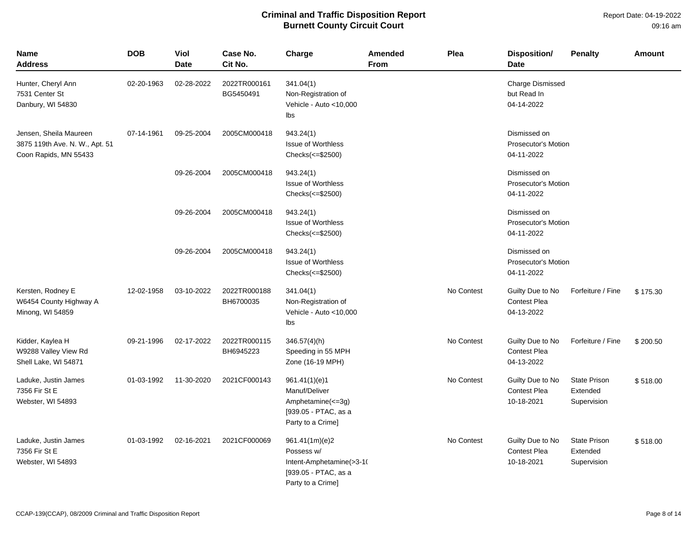| <b>Name</b><br><b>Address</b>                                                     | <b>DOB</b> | Viol<br><b>Date</b> | Case No.<br>Cit No.       | Charge                                                                                                | <b>Amended</b><br>From | Plea       | <b>Disposition/</b><br><b>Date</b>                       | <b>Penalty</b>                                 | <b>Amount</b> |
|-----------------------------------------------------------------------------------|------------|---------------------|---------------------------|-------------------------------------------------------------------------------------------------------|------------------------|------------|----------------------------------------------------------|------------------------------------------------|---------------|
| Hunter, Cheryl Ann<br>7531 Center St<br>Danbury, WI 54830                         | 02-20-1963 | 02-28-2022          | 2022TR000161<br>BG5450491 | 341.04(1)<br>Non-Registration of<br>Vehicle - Auto <10,000<br>lbs                                     |                        |            | <b>Charge Dismissed</b><br>but Read In<br>04-14-2022     |                                                |               |
| Jensen, Sheila Maureen<br>3875 119th Ave. N. W., Apt. 51<br>Coon Rapids, MN 55433 | 07-14-1961 | 09-25-2004          | 2005CM000418              | 943.24(1)<br><b>Issue of Worthless</b><br>$Checks(\leq$ \$2500)                                       |                        |            | Dismissed on<br>Prosecutor's Motion<br>04-11-2022        |                                                |               |
|                                                                                   |            | 09-26-2004          | 2005CM000418              | 943.24(1)<br><b>Issue of Worthless</b><br>Checks(<=\$2500)                                            |                        |            | Dismissed on<br>Prosecutor's Motion<br>04-11-2022        |                                                |               |
|                                                                                   |            | 09-26-2004          | 2005CM000418              | 943.24(1)<br><b>Issue of Worthless</b><br>Checks(<=\$2500)                                            |                        |            | Dismissed on<br>Prosecutor's Motion<br>04-11-2022        |                                                |               |
|                                                                                   |            | 09-26-2004          | 2005CM000418              | 943.24(1)<br><b>Issue of Worthless</b><br>Checks(<=\$2500)                                            |                        |            | Dismissed on<br><b>Prosecutor's Motion</b><br>04-11-2022 |                                                |               |
| Kersten, Rodney E<br>W6454 County Highway A<br>Minong, WI 54859                   | 12-02-1958 | 03-10-2022          | 2022TR000188<br>BH6700035 | 341.04(1)<br>Non-Registration of<br>Vehicle - Auto <10,000<br>lbs                                     |                        | No Contest | Guilty Due to No<br><b>Contest Plea</b><br>04-13-2022    | Forfeiture / Fine                              | \$175.30      |
| Kidder, Kaylea H<br>W9288 Valley View Rd<br>Shell Lake, WI 54871                  | 09-21-1996 | 02-17-2022          | 2022TR000115<br>BH6945223 | $346.57(4)$ (h)<br>Speeding in 55 MPH<br>Zone (16-19 MPH)                                             |                        | No Contest | Guilty Due to No<br><b>Contest Plea</b><br>04-13-2022    | Forfeiture / Fine                              | \$200.50      |
| Laduke, Justin James<br>7356 Fir St E<br>Webster, WI 54893                        | 01-03-1992 | 11-30-2020          | 2021CF000143              | 961.41(1)(e)1<br>Manuf/Deliver<br>Amphetamine(<=3g)<br>[939.05 - PTAC, as a<br>Party to a Crime]      |                        | No Contest | Guilty Due to No<br><b>Contest Plea</b><br>10-18-2021    | <b>State Prison</b><br>Extended<br>Supervision | \$518.00      |
| Laduke, Justin James<br>7356 Fir St E<br>Webster, WI 54893                        | 01-03-1992 | 02-16-2021          | 2021CF000069              | 961.41(1m)(e)2<br>Possess w/<br>Intent-Amphetamine(>3-10<br>[939.05 - PTAC, as a<br>Party to a Crime] |                        | No Contest | Guilty Due to No<br><b>Contest Plea</b><br>10-18-2021    | <b>State Prison</b><br>Extended<br>Supervision | \$518.00      |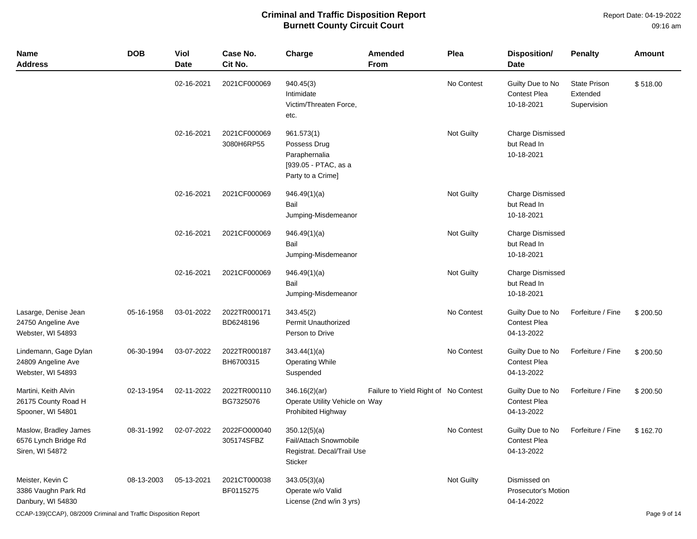| Name<br><b>Address</b>                                           | <b>DOB</b> | Viol<br><b>Date</b> | Case No.<br>Cit No.        | Charge                                                                                   | <b>Amended</b><br>From               | Plea       | <b>Disposition/</b><br><b>Date</b>                    | <b>Penalty</b>                                 | <b>Amount</b> |
|------------------------------------------------------------------|------------|---------------------|----------------------------|------------------------------------------------------------------------------------------|--------------------------------------|------------|-------------------------------------------------------|------------------------------------------------|---------------|
|                                                                  |            | 02-16-2021          | 2021CF000069               | 940.45(3)<br>Intimidate<br>Victim/Threaten Force,<br>etc.                                |                                      | No Contest | Guilty Due to No<br><b>Contest Plea</b><br>10-18-2021 | <b>State Prison</b><br>Extended<br>Supervision | \$518.00      |
|                                                                  |            | 02-16-2021          | 2021CF000069<br>3080H6RP55 | 961.573(1)<br>Possess Drug<br>Paraphernalia<br>[939.05 - PTAC, as a<br>Party to a Crime] |                                      | Not Guilty | Charge Dismissed<br>but Read In<br>10-18-2021         |                                                |               |
|                                                                  |            | 02-16-2021          | 2021CF000069               | 946.49(1)(a)<br>Bail<br>Jumping-Misdemeanor                                              |                                      | Not Guilty | Charge Dismissed<br>but Read In<br>10-18-2021         |                                                |               |
|                                                                  |            | 02-16-2021          | 2021CF000069               | 946.49(1)(a)<br>Bail<br>Jumping-Misdemeanor                                              |                                      | Not Guilty | Charge Dismissed<br>but Read In<br>10-18-2021         |                                                |               |
|                                                                  |            | 02-16-2021          | 2021CF000069               | 946.49(1)(a)<br>Bail<br>Jumping-Misdemeanor                                              |                                      | Not Guilty | Charge Dismissed<br>but Read In<br>10-18-2021         |                                                |               |
| Lasarge, Denise Jean<br>24750 Angeline Ave<br>Webster, WI 54893  | 05-16-1958 | 03-01-2022          | 2022TR000171<br>BD6248196  | 343.45(2)<br><b>Permit Unauthorized</b><br>Person to Drive                               |                                      | No Contest | Guilty Due to No<br><b>Contest Plea</b><br>04-13-2022 | Forfeiture / Fine                              | \$200.50      |
| Lindemann, Gage Dylan<br>24809 Angeline Ave<br>Webster, WI 54893 | 06-30-1994 | 03-07-2022          | 2022TR000187<br>BH6700315  | 343.44(1)(a)<br><b>Operating While</b><br>Suspended                                      |                                      | No Contest | Guilty Due to No<br><b>Contest Plea</b><br>04-13-2022 | Forfeiture / Fine                              | \$200.50      |
| Martini, Keith Alvin<br>26175 County Road H<br>Spooner, WI 54801 | 02-13-1954 | 02-11-2022          | 2022TR000110<br>BG7325076  | 346.16(2)(ar)<br>Operate Utility Vehicle on Way<br>Prohibited Highway                    | Failure to Yield Right of No Contest |            | Guilty Due to No<br>Contest Plea<br>04-13-2022        | Forfeiture / Fine                              | \$200.50      |
| Maslow, Bradley James<br>6576 Lynch Bridge Rd<br>Siren, WI 54872 | 08-31-1992 | 02-07-2022          | 2022FO000040<br>305174SFBZ | 350.12(5)(a)<br>Fail/Attach Snowmobile<br>Registrat. Decal/Trail Use<br>Sticker          |                                      | No Contest | Guilty Due to No<br><b>Contest Plea</b><br>04-13-2022 | Forfeiture / Fine                              | \$162.70      |
| Meister, Kevin C<br>3386 Vaughn Park Rd<br>Danbury, WI 54830     | 08-13-2003 | 05-13-2021          | 2021CT000038<br>BF0115275  | 343.05(3)(a)<br>Operate w/o Valid<br>License (2nd w/in 3 yrs)                            |                                      | Not Guilty | Dismissed on<br>Prosecutor's Motion<br>04-14-2022     |                                                |               |

CCAP-139(CCAP), 08/2009 Criminal and Traffic Disposition Report **Page 9 of 14** and Traffic Disposition Report Page 9 of 14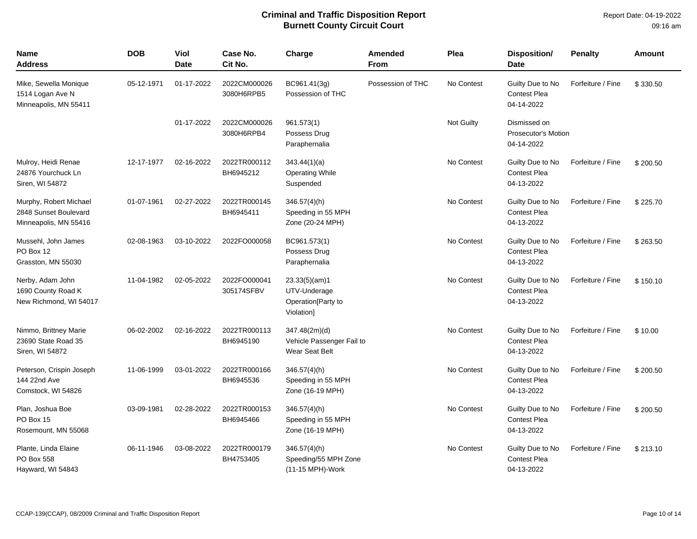| Name<br>Address                                                          | <b>DOB</b> | <b>Viol</b><br><b>Date</b> | Case No.<br>Cit No.        | Charge                                                            | Amended<br><b>From</b> | Plea       | <b>Disposition/</b><br><b>Date</b>                       | <b>Penalty</b>    | Amount   |
|--------------------------------------------------------------------------|------------|----------------------------|----------------------------|-------------------------------------------------------------------|------------------------|------------|----------------------------------------------------------|-------------------|----------|
| Mike, Sewella Monique<br>1514 Logan Ave N<br>Minneapolis, MN 55411       | 05-12-1971 | 01-17-2022                 | 2022CM000026<br>3080H6RPB5 | BC961.41(3g)<br>Possession of THC                                 | Possession of THC      | No Contest | Guilty Due to No<br><b>Contest Plea</b><br>04-14-2022    | Forfeiture / Fine | \$330.50 |
|                                                                          |            | 01-17-2022                 | 2022CM000026<br>3080H6RPB4 | 961.573(1)<br>Possess Drug<br>Paraphernalia                       |                        | Not Guilty | Dismissed on<br><b>Prosecutor's Motion</b><br>04-14-2022 |                   |          |
| Mulroy, Heidi Renae<br>24876 Yourchuck Ln<br>Siren, WI 54872             | 12-17-1977 | 02-16-2022                 | 2022TR000112<br>BH6945212  | 343.44(1)(a)<br><b>Operating While</b><br>Suspended               |                        | No Contest | Guilty Due to No<br><b>Contest Plea</b><br>04-13-2022    | Forfeiture / Fine | \$200.50 |
| Murphy, Robert Michael<br>2848 Sunset Boulevard<br>Minneapolis, MN 55416 | 01-07-1961 | 02-27-2022                 | 2022TR000145<br>BH6945411  | $346.57(4)$ (h)<br>Speeding in 55 MPH<br>Zone (20-24 MPH)         |                        | No Contest | Guilty Due to No<br><b>Contest Plea</b><br>04-13-2022    | Forfeiture / Fine | \$225.70 |
| Mussehl, John James<br>PO Box 12<br>Grasston, MN 55030                   | 02-08-1963 | 03-10-2022                 | 2022FO000058               | BC961.573(1)<br>Possess Drug<br>Paraphernalia                     |                        | No Contest | Guilty Due to No<br><b>Contest Plea</b><br>04-13-2022    | Forfeiture / Fine | \$263.50 |
| Nerby, Adam John<br>1690 County Road K<br>New Richmond, WI 54017         | 11-04-1982 | 02-05-2022                 | 2022FO000041<br>305174SFBV | 23.33(5)(am)1<br>UTV-Underage<br>Operation[Party to<br>Violation] |                        | No Contest | Guilty Due to No<br><b>Contest Plea</b><br>04-13-2022    | Forfeiture / Fine | \$150.10 |
| Nimmo, Brittney Marie<br>23690 State Road 35<br>Siren, WI 54872          | 06-02-2002 | 02-16-2022                 | 2022TR000113<br>BH6945190  | 347.48(2m)(d)<br>Vehicle Passenger Fail to<br>Wear Seat Belt      |                        | No Contest | Guilty Due to No<br><b>Contest Plea</b><br>04-13-2022    | Forfeiture / Fine | \$10.00  |
| Peterson, Crispin Joseph<br>144 22nd Ave<br>Comstock, WI 54826           | 11-06-1999 | 03-01-2022                 | 2022TR000166<br>BH6945536  | $346.57(4)$ (h)<br>Speeding in 55 MPH<br>Zone (16-19 MPH)         |                        | No Contest | Guilty Due to No<br><b>Contest Plea</b><br>04-13-2022    | Forfeiture / Fine | \$200.50 |
| Plan, Joshua Boe<br>PO Box 15<br>Rosemount, MN 55068                     | 03-09-1981 | 02-28-2022                 | 2022TR000153<br>BH6945466  | $346.57(4)$ (h)<br>Speeding in 55 MPH<br>Zone (16-19 MPH)         |                        | No Contest | Guilty Due to No<br><b>Contest Plea</b><br>04-13-2022    | Forfeiture / Fine | \$200.50 |
| Plante, Linda Elaine<br>PO Box 558<br>Hayward, WI 54843                  | 06-11-1946 | 03-08-2022                 | 2022TR000179<br>BH4753405  | $346.57(4)$ (h)<br>Speeding/55 MPH Zone<br>(11-15 MPH)-Work       |                        | No Contest | Guilty Due to No<br><b>Contest Plea</b><br>04-13-2022    | Forfeiture / Fine | \$213.10 |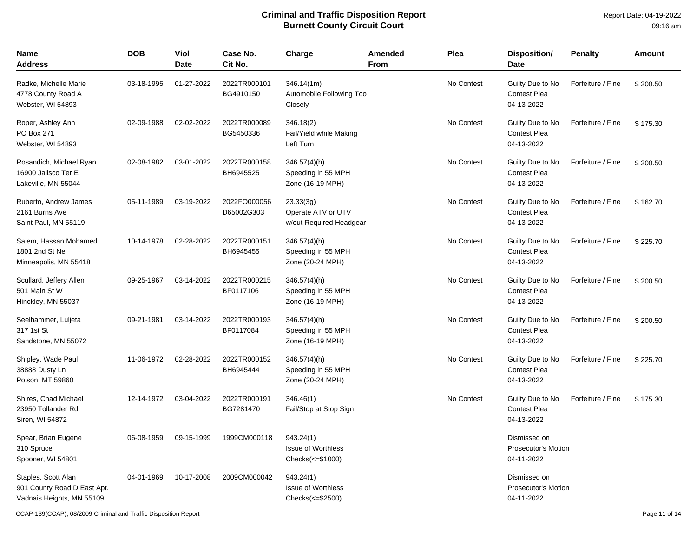| <b>Name</b><br>Address                                                          | <b>DOB</b> | Viol<br><b>Date</b> | Case No.<br>Cit No.        | Charge                                                          | Amended<br>From | Plea       | Disposition/<br><b>Date</b>                           | <b>Penalty</b>    | Amount   |
|---------------------------------------------------------------------------------|------------|---------------------|----------------------------|-----------------------------------------------------------------|-----------------|------------|-------------------------------------------------------|-------------------|----------|
| Radke, Michelle Marie<br>4778 County Road A<br>Webster, WI 54893                | 03-18-1995 | 01-27-2022          | 2022TR000101<br>BG4910150  | 346.14(1m)<br>Automobile Following Too<br>Closely               |                 | No Contest | Guilty Due to No<br><b>Contest Plea</b><br>04-13-2022 | Forfeiture / Fine | \$200.50 |
| Roper, Ashley Ann<br>PO Box 271<br>Webster, WI 54893                            | 02-09-1988 | 02-02-2022          | 2022TR000089<br>BG5450336  | 346.18(2)<br>Fail/Yield while Making<br>Left Turn               |                 | No Contest | Guilty Due to No<br><b>Contest Plea</b><br>04-13-2022 | Forfeiture / Fine | \$175.30 |
| Rosandich, Michael Ryan<br>16900 Jalisco Ter E<br>Lakeville, MN 55044           | 02-08-1982 | 03-01-2022          | 2022TR000158<br>BH6945525  | $346.57(4)$ (h)<br>Speeding in 55 MPH<br>Zone (16-19 MPH)       |                 | No Contest | Guilty Due to No<br><b>Contest Plea</b><br>04-13-2022 | Forfeiture / Fine | \$200.50 |
| Ruberto, Andrew James<br>2161 Burns Ave<br>Saint Paul, MN 55119                 | 05-11-1989 | 03-19-2022          | 2022FO000056<br>D65002G303 | 23.33(3g)<br>Operate ATV or UTV<br>w/out Required Headgear      |                 | No Contest | Guilty Due to No<br><b>Contest Plea</b><br>04-13-2022 | Forfeiture / Fine | \$162.70 |
| Salem, Hassan Mohamed<br>1801 2nd St Ne<br>Minneapolis, MN 55418                | 10-14-1978 | 02-28-2022          | 2022TR000151<br>BH6945455  | $346.57(4)$ (h)<br>Speeding in 55 MPH<br>Zone (20-24 MPH)       |                 | No Contest | Guilty Due to No<br><b>Contest Plea</b><br>04-13-2022 | Forfeiture / Fine | \$225.70 |
| Scullard, Jeffery Allen<br>501 Main St W<br>Hinckley, MN 55037                  | 09-25-1967 | 03-14-2022          | 2022TR000215<br>BF0117106  | $346.57(4)$ (h)<br>Speeding in 55 MPH<br>Zone (16-19 MPH)       |                 | No Contest | Guilty Due to No<br><b>Contest Plea</b><br>04-13-2022 | Forfeiture / Fine | \$200.50 |
| Seelhammer, Luljeta<br>317 1st St<br>Sandstone, MN 55072                        | 09-21-1981 | 03-14-2022          | 2022TR000193<br>BF0117084  | $346.57(4)$ (h)<br>Speeding in 55 MPH<br>Zone (16-19 MPH)       |                 | No Contest | Guilty Due to No<br><b>Contest Plea</b><br>04-13-2022 | Forfeiture / Fine | \$200.50 |
| Shipley, Wade Paul<br>38888 Dusty Ln<br>Polson, MT 59860                        | 11-06-1972 | 02-28-2022          | 2022TR000152<br>BH6945444  | $346.57(4)$ (h)<br>Speeding in 55 MPH<br>Zone (20-24 MPH)       |                 | No Contest | Guilty Due to No<br><b>Contest Plea</b><br>04-13-2022 | Forfeiture / Fine | \$225.70 |
| Shires, Chad Michael<br>23950 Tollander Rd<br>Siren, WI 54872                   | 12-14-1972 | 03-04-2022          | 2022TR000191<br>BG7281470  | 346.46(1)<br>Fail/Stop at Stop Sign                             |                 | No Contest | Guilty Due to No<br><b>Contest Plea</b><br>04-13-2022 | Forfeiture / Fine | \$175.30 |
| Spear, Brian Eugene<br>310 Spruce<br>Spooner, WI 54801                          | 06-08-1959 | 09-15-1999          | 1999CM000118               | 943.24(1)<br><b>Issue of Worthless</b><br>Checks $\le$ =\$1000) |                 |            | Dismissed on<br>Prosecutor's Motion<br>04-11-2022     |                   |          |
| Staples, Scott Alan<br>901 County Road D East Apt.<br>Vadnais Heights, MN 55109 | 04-01-1969 | 10-17-2008          | 2009CM000042               | 943.24(1)<br><b>Issue of Worthless</b><br>Checks(<=\$2500)      |                 |            | Dismissed on<br>Prosecutor's Motion<br>04-11-2022     |                   |          |

CCAP-139(CCAP), 08/2009 Criminal and Traffic Disposition Report Page 11 of 14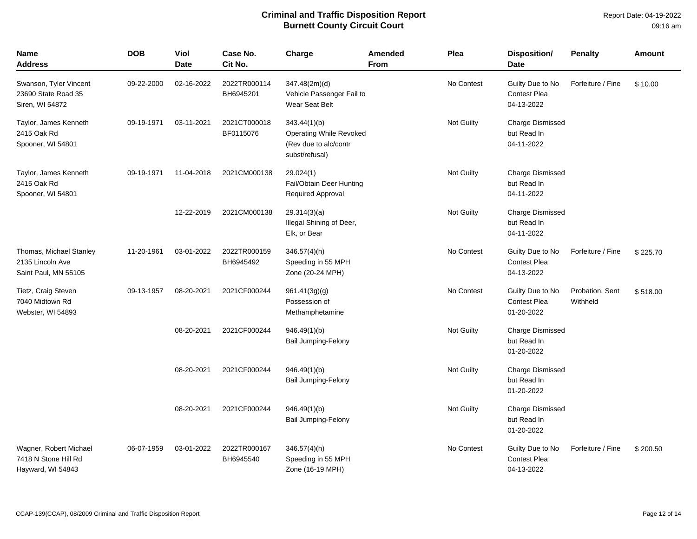| Name<br><b>Address</b>                                              | <b>DOB</b> | Viol<br><b>Date</b> | Case No.<br>Cit No.       | Charge                                                                                    | Amended<br>From | Plea              | <b>Disposition/</b><br><b>Date</b>                    | <b>Penalty</b>              | <b>Amount</b> |
|---------------------------------------------------------------------|------------|---------------------|---------------------------|-------------------------------------------------------------------------------------------|-----------------|-------------------|-------------------------------------------------------|-----------------------------|---------------|
| Swanson, Tyler Vincent<br>23690 State Road 35<br>Siren, WI 54872    | 09-22-2000 | 02-16-2022          | 2022TR000114<br>BH6945201 | 347.48(2m)(d)<br>Vehicle Passenger Fail to<br>Wear Seat Belt                              |                 | No Contest        | Guilty Due to No<br><b>Contest Plea</b><br>04-13-2022 | Forfeiture / Fine           | \$10.00       |
| Taylor, James Kenneth<br>2415 Oak Rd<br>Spooner, WI 54801           | 09-19-1971 | 03-11-2021          | 2021CT000018<br>BF0115076 | 343.44(1)(b)<br><b>Operating While Revoked</b><br>(Rev due to alc/contr<br>subst/refusal) |                 | Not Guilty        | <b>Charge Dismissed</b><br>but Read In<br>04-11-2022  |                             |               |
| Taylor, James Kenneth<br>2415 Oak Rd<br>Spooner, WI 54801           | 09-19-1971 | 11-04-2018          | 2021CM000138              | 29.024(1)<br>Fail/Obtain Deer Hunting<br><b>Required Approval</b>                         |                 | Not Guilty        | <b>Charge Dismissed</b><br>but Read In<br>04-11-2022  |                             |               |
|                                                                     |            | 12-22-2019          | 2021CM000138              | 29.314(3)(a)<br>Illegal Shining of Deer,<br>Elk, or Bear                                  |                 | Not Guilty        | Charge Dismissed<br>but Read In<br>04-11-2022         |                             |               |
| Thomas, Michael Stanley<br>2135 Lincoln Ave<br>Saint Paul, MN 55105 | 11-20-1961 | 03-01-2022          | 2022TR000159<br>BH6945492 | 346.57(4)(h)<br>Speeding in 55 MPH<br>Zone (20-24 MPH)                                    |                 | No Contest        | Guilty Due to No<br>Contest Plea<br>04-13-2022        | Forfeiture / Fine           | \$225.70      |
| Tietz, Craig Steven<br>7040 Midtown Rd<br>Webster, WI 54893         | 09-13-1957 | 08-20-2021          | 2021CF000244              | 961.41(3g)(g)<br>Possession of<br>Methamphetamine                                         |                 | No Contest        | Guilty Due to No<br><b>Contest Plea</b><br>01-20-2022 | Probation, Sent<br>Withheld | \$518.00      |
|                                                                     |            | 08-20-2021          | 2021CF000244              | 946.49(1)(b)<br>Bail Jumping-Felony                                                       |                 | Not Guilty        | <b>Charge Dismissed</b><br>but Read In<br>01-20-2022  |                             |               |
|                                                                     |            | 08-20-2021          | 2021CF000244              | 946.49(1)(b)<br>Bail Jumping-Felony                                                       |                 | <b>Not Guilty</b> | <b>Charge Dismissed</b><br>but Read In<br>01-20-2022  |                             |               |
|                                                                     |            | 08-20-2021          | 2021CF000244              | 946.49(1)(b)<br>Bail Jumping-Felony                                                       |                 | Not Guilty        | <b>Charge Dismissed</b><br>but Read In<br>01-20-2022  |                             |               |
| Wagner, Robert Michael<br>7418 N Stone Hill Rd<br>Hayward, WI 54843 | 06-07-1959 | 03-01-2022          | 2022TR000167<br>BH6945540 | 346.57(4)(h)<br>Speeding in 55 MPH<br>Zone (16-19 MPH)                                    |                 | No Contest        | Guilty Due to No<br>Contest Plea<br>04-13-2022        | Forfeiture / Fine           | \$200.50      |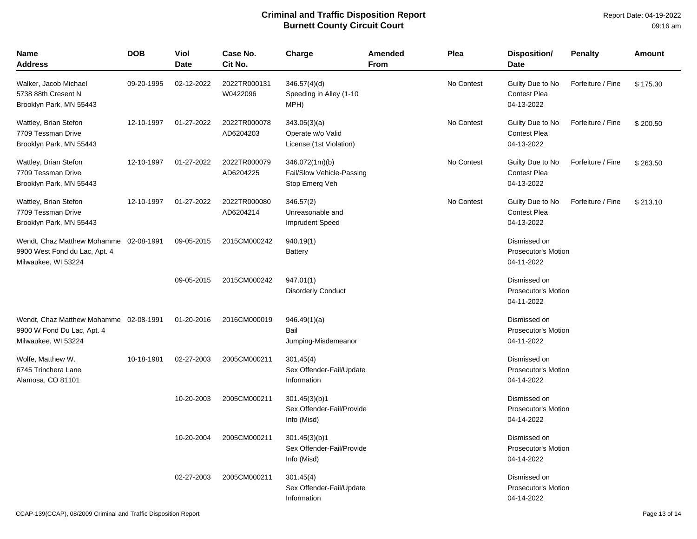| Name<br>Address                                                                                | <b>DOB</b> | Viol<br><b>Date</b> | Case No.<br>Cit No.       | Charge                                                        | Amended<br><b>From</b> | Plea       | Disposition/<br><b>Date</b>                              | <b>Penalty</b>    | <b>Amount</b> |  |
|------------------------------------------------------------------------------------------------|------------|---------------------|---------------------------|---------------------------------------------------------------|------------------------|------------|----------------------------------------------------------|-------------------|---------------|--|
| Walker, Jacob Michael<br>5738 88th Cresent N<br>Brooklyn Park, MN 55443                        | 09-20-1995 | 02-12-2022          | 2022TR000131<br>W0422096  | 346.57(4)(d)<br>Speeding in Alley (1-10<br>MPH)               |                        | No Contest | Guilty Due to No<br><b>Contest Plea</b><br>04-13-2022    | Forfeiture / Fine | \$175.30      |  |
| Wattley, Brian Stefon<br>7709 Tessman Drive<br>Brooklyn Park, MN 55443                         | 12-10-1997 | 01-27-2022          | 2022TR000078<br>AD6204203 | 343.05(3)(a)<br>Operate w/o Valid<br>License (1st Violation)  |                        | No Contest | Guilty Due to No<br><b>Contest Plea</b><br>04-13-2022    | Forfeiture / Fine | \$200.50      |  |
| Wattley, Brian Stefon<br>7709 Tessman Drive<br>Brooklyn Park, MN 55443                         | 12-10-1997 | 01-27-2022          | 2022TR000079<br>AD6204225 | 346.072(1m)(b)<br>Fail/Slow Vehicle-Passing<br>Stop Emerg Veh |                        | No Contest | Guilty Due to No<br><b>Contest Plea</b><br>04-13-2022    | Forfeiture / Fine | \$263.50      |  |
| Wattley, Brian Stefon<br>7709 Tessman Drive<br>Brooklyn Park, MN 55443                         | 12-10-1997 | 01-27-2022          | 2022TR000080<br>AD6204214 | 346.57(2)<br>Unreasonable and<br><b>Imprudent Speed</b>       |                        | No Contest | Guilty Due to No<br><b>Contest Plea</b><br>04-13-2022    | Forfeiture / Fine | \$213.10      |  |
| Wendt, Chaz Matthew Mohamme 02-08-1991<br>9900 West Fond du Lac, Apt. 4<br>Milwaukee, WI 53224 |            | 09-05-2015          | 2015CM000242              | 940.19(1)<br><b>Battery</b>                                   |                        |            | Dismissed on<br><b>Prosecutor's Motion</b><br>04-11-2022 |                   |               |  |
|                                                                                                |            | 09-05-2015          | 2015CM000242              | 947.01(1)<br><b>Disorderly Conduct</b>                        |                        |            | Dismissed on<br><b>Prosecutor's Motion</b><br>04-11-2022 |                   |               |  |
| Wendt, Chaz Matthew Mohamme 02-08-1991<br>9900 W Fond Du Lac, Apt. 4<br>Milwaukee, WI 53224    |            | 01-20-2016          | 2016CM000019              | 946.49(1)(a)<br>Bail<br>Jumping-Misdemeanor                   |                        |            | Dismissed on<br><b>Prosecutor's Motion</b><br>04-11-2022 |                   |               |  |
| Wolfe, Matthew W.<br>6745 Trinchera Lane<br>Alamosa, CO 81101                                  | 10-18-1981 | 02-27-2003          | 2005CM000211              | 301.45(4)<br>Sex Offender-Fail/Update<br>Information          |                        |            | Dismissed on<br><b>Prosecutor's Motion</b><br>04-14-2022 |                   |               |  |
|                                                                                                |            | 10-20-2003          | 2005CM000211              | 301.45(3)(b)1<br>Sex Offender-Fail/Provide<br>Info (Misd)     |                        |            | Dismissed on<br>Prosecutor's Motion<br>04-14-2022        |                   |               |  |
|                                                                                                |            | 10-20-2004          | 2005CM000211              | 301.45(3)(b)1<br>Sex Offender-Fail/Provide<br>Info (Misd)     |                        |            | Dismissed on<br><b>Prosecutor's Motion</b><br>04-14-2022 |                   |               |  |
|                                                                                                |            | 02-27-2003          | 2005CM000211              | 301.45(4)<br>Sex Offender-Fail/Update<br>Information          |                        |            | Dismissed on<br><b>Prosecutor's Motion</b><br>04-14-2022 |                   |               |  |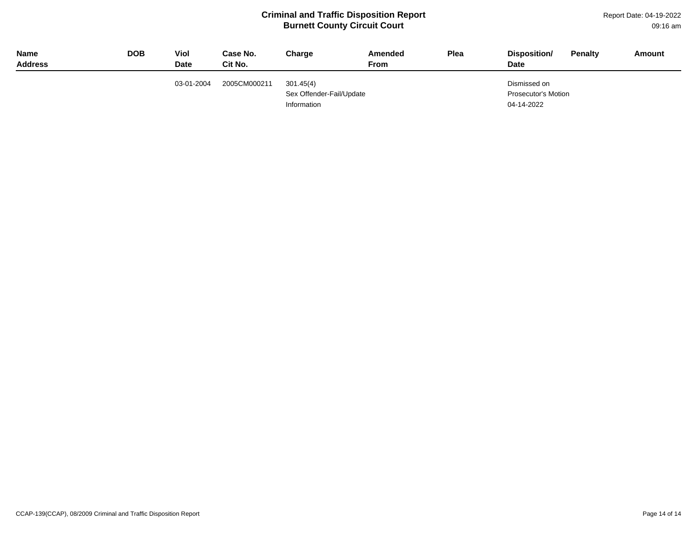| Name<br><b>Address</b> | <b>DOB</b> | Viol<br><b>Date</b> | Case No.<br>Cit No. | Charge                                               | <b>Amended</b><br>From | Plea | Disposition/<br><b>Date</b>                       | <b>Penalty</b> | Amount |
|------------------------|------------|---------------------|---------------------|------------------------------------------------------|------------------------|------|---------------------------------------------------|----------------|--------|
|                        |            | 03-01-2004          | 2005CM000211        | 301.45(4)<br>Sex Offender-Fail/Update<br>Information |                        |      | Dismissed on<br>Prosecutor's Motion<br>04-14-2022 |                |        |